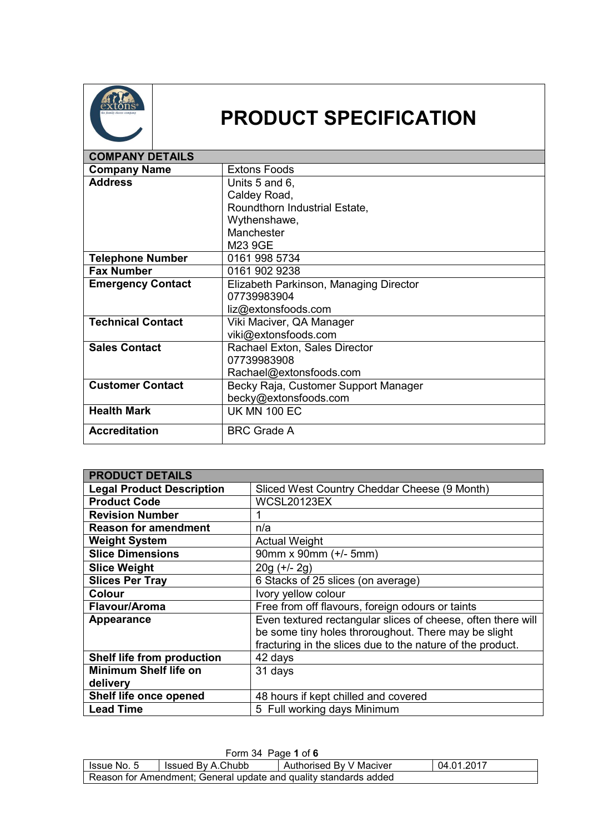

## **PRODUCT SPECIFICATION**

| <b>COMPANY DETAILS</b>   |                                        |
|--------------------------|----------------------------------------|
| <b>Company Name</b>      | <b>Extons Foods</b>                    |
| <b>Address</b>           | Units 5 and 6,                         |
|                          | Caldey Road,                           |
|                          | Roundthorn Industrial Estate,          |
|                          | Wythenshawe,                           |
|                          | Manchester                             |
|                          | M23 9GE                                |
| <b>Telephone Number</b>  | 0161 998 5734                          |
| <b>Fax Number</b>        | 0161 902 9238                          |
| <b>Emergency Contact</b> | Elizabeth Parkinson, Managing Director |
|                          | 07739983904                            |
|                          | liz@extonsfoods.com                    |
| <b>Technical Contact</b> | Viki Maciver, QA Manager               |
|                          | viki@extonsfoods.com                   |
| <b>Sales Contact</b>     | Rachael Exton, Sales Director          |
|                          | 07739983908                            |
|                          | Rachael@extonsfoods.com                |
| <b>Customer Contact</b>  | Becky Raja, Customer Support Manager   |
|                          | becky@extonsfoods.com                  |
| <b>Health Mark</b>       | <b>UK MN 100 EC</b>                    |
| <b>Accreditation</b>     | <b>BRC Grade A</b>                     |

| <b>PRODUCT DETAILS</b>           |                                                              |
|----------------------------------|--------------------------------------------------------------|
| <b>Legal Product Description</b> | Sliced West Country Cheddar Cheese (9 Month)                 |
| <b>Product Code</b>              | <b>WCSL20123EX</b>                                           |
| <b>Revision Number</b>           |                                                              |
| <b>Reason for amendment</b>      | n/a                                                          |
| <b>Weight System</b>             | <b>Actual Weight</b>                                         |
| <b>Slice Dimensions</b>          | 90mm x 90mm (+/- 5mm)                                        |
| <b>Slice Weight</b>              | $20g (+/- 2g)$                                               |
| <b>Slices Per Tray</b>           | 6 Stacks of 25 slices (on average)                           |
| <b>Colour</b>                    | Ivory yellow colour                                          |
| Flavour/Aroma                    | Free from off flavours, foreign odours or taints             |
| Appearance                       | Even textured rectangular slices of cheese, often there will |
|                                  | be some tiny holes throroughout. There may be slight         |
|                                  | fracturing in the slices due to the nature of the product.   |
| Shelf life from production       | 42 days                                                      |
| <b>Minimum Shelf life on</b>     | 31 days                                                      |
| delivery                         |                                                              |
| Shelf life once opened           | 48 hours if kept chilled and covered                         |
| <b>Lead Time</b>                 | 5 Full working days Minimum                                  |

| Form 34 Page 1 of 6                                                         |  |  |  |  |
|-----------------------------------------------------------------------------|--|--|--|--|
| 04.01.2017<br>Authorised By V Maciver<br>I Issue No. 5<br>Issued By A.Chubb |  |  |  |  |
| Reason for Amendment; General update and quality standards added            |  |  |  |  |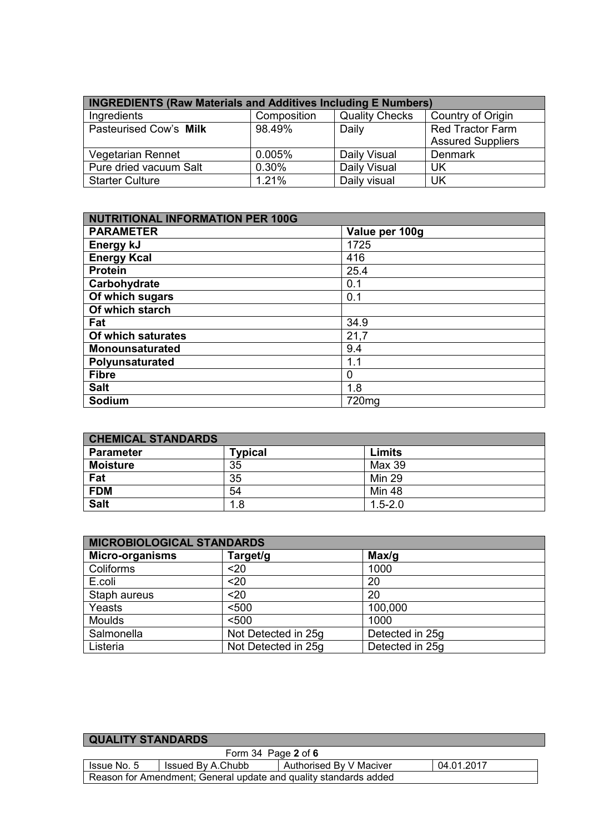| <b>INGREDIENTS (Raw Materials and Additives Including E Numbers)</b> |             |                       |                          |  |
|----------------------------------------------------------------------|-------------|-----------------------|--------------------------|--|
| Ingredients                                                          | Composition | <b>Quality Checks</b> | Country of Origin        |  |
| Pasteurised Cow's Milk                                               | 98.49%      | Daily                 | <b>Red Tractor Farm</b>  |  |
|                                                                      |             |                       | <b>Assured Suppliers</b> |  |
| <b>Vegetarian Rennet</b>                                             | 0.005%      | Daily Visual          | <b>Denmark</b>           |  |
| Pure dried vacuum Salt                                               | 0.30%       | Daily Visual          | UK                       |  |
| <b>Starter Culture</b>                                               | 1.21%       | Daily visual          | UK                       |  |

| <b>NUTRITIONAL INFORMATION PER 100G</b> |                |  |
|-----------------------------------------|----------------|--|
| <b>PARAMETER</b>                        | Value per 100g |  |
| Energy kJ                               | 1725           |  |
| <b>Energy Kcal</b>                      | 416            |  |
| <b>Protein</b>                          | 25.4           |  |
| Carbohydrate                            | 0.1            |  |
| Of which sugars                         | 0.1            |  |
| Of which starch                         |                |  |
| Fat                                     | 34.9           |  |
| Of which saturates                      | 21,7           |  |
| <b>Monounsaturated</b>                  | 9.4            |  |
| Polyunsaturated                         | 1.1            |  |
| <b>Fibre</b>                            | 0              |  |
| <b>Salt</b>                             | 1.8            |  |
| Sodium                                  | 720mg          |  |

| <b>CHEMICAL STANDARDS</b> |              |               |
|---------------------------|--------------|---------------|
| <b>Parameter</b>          | Typical      | Limits        |
| <b>Moisture</b>           | 35           | Max 39        |
| Fat                       | 35           | <b>Min 29</b> |
| <b>FDM</b>                | 54           | <b>Min 48</b> |
| <b>Salt</b>               | $\mathbf{8}$ | $1.5 - 2.0$   |

| <b>MICROBIOLOGICAL STANDARDS</b> |                     |                 |  |
|----------------------------------|---------------------|-----------------|--|
| <b>Micro-organisms</b>           | Target/g            | Max/g           |  |
| Coliforms                        | $20$                | 1000            |  |
| E.coli                           | $20$                | 20              |  |
| Staph aureus                     | $20$                | 20              |  |
| Yeasts                           | < 500               | 100,000         |  |
| <b>Moulds</b>                    | < 500               | 1000            |  |
| Salmonella                       | Not Detected in 25g | Detected in 25g |  |
| Listeria                         | Not Detected in 25g | Detected in 25g |  |

| <b>QUALITY STANDARDS</b>                                         |                   |                         |            |  |  |
|------------------------------------------------------------------|-------------------|-------------------------|------------|--|--|
| Form 34 Page $2$ of 6                                            |                   |                         |            |  |  |
| Issue No. 5                                                      | Issued By A.Chubb | Authorised By V Maciver | 04.01.2017 |  |  |
| Reason for Amendment; General update and quality standards added |                   |                         |            |  |  |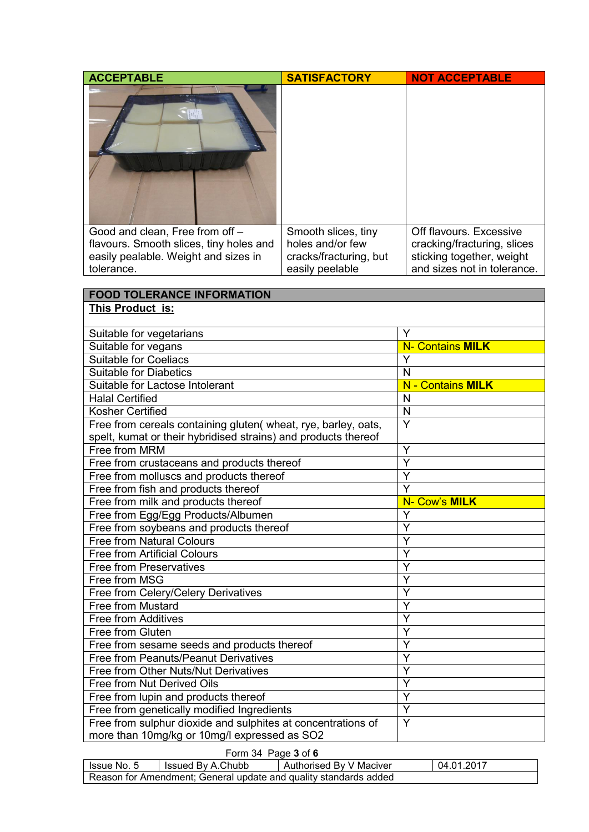| $ \left  u_0 \right $<br>Good and clean, Free from off -<br>Off flavours. Excessive<br>Smooth slices, tiny<br>flavours. Smooth slices, tiny holes and<br>holes and/or few<br>cracking/fracturing, slices<br>easily pealable. Weight and sizes in<br>sticking together, weight<br>cracks/fracturing, but<br>and sizes not in tolerance.<br>tolerance.<br>easily peelable<br><b>FOOD TOLERANCE INFORMATION</b><br>This Product is:<br>Suitable for vegetarians<br>Y<br><b>N- Contains MILK</b><br>Suitable for vegans<br><b>Suitable for Coeliacs</b><br>Y<br><b>Suitable for Diabetics</b><br>N<br><b>N</b> - Contains MILK<br>Suitable for Lactose Intolerant<br><b>Halal Certified</b> |
|-----------------------------------------------------------------------------------------------------------------------------------------------------------------------------------------------------------------------------------------------------------------------------------------------------------------------------------------------------------------------------------------------------------------------------------------------------------------------------------------------------------------------------------------------------------------------------------------------------------------------------------------------------------------------------------------|
|                                                                                                                                                                                                                                                                                                                                                                                                                                                                                                                                                                                                                                                                                         |
|                                                                                                                                                                                                                                                                                                                                                                                                                                                                                                                                                                                                                                                                                         |
|                                                                                                                                                                                                                                                                                                                                                                                                                                                                                                                                                                                                                                                                                         |
|                                                                                                                                                                                                                                                                                                                                                                                                                                                                                                                                                                                                                                                                                         |
|                                                                                                                                                                                                                                                                                                                                                                                                                                                                                                                                                                                                                                                                                         |
|                                                                                                                                                                                                                                                                                                                                                                                                                                                                                                                                                                                                                                                                                         |
|                                                                                                                                                                                                                                                                                                                                                                                                                                                                                                                                                                                                                                                                                         |
|                                                                                                                                                                                                                                                                                                                                                                                                                                                                                                                                                                                                                                                                                         |
|                                                                                                                                                                                                                                                                                                                                                                                                                                                                                                                                                                                                                                                                                         |
|                                                                                                                                                                                                                                                                                                                                                                                                                                                                                                                                                                                                                                                                                         |
|                                                                                                                                                                                                                                                                                                                                                                                                                                                                                                                                                                                                                                                                                         |
|                                                                                                                                                                                                                                                                                                                                                                                                                                                                                                                                                                                                                                                                                         |
|                                                                                                                                                                                                                                                                                                                                                                                                                                                                                                                                                                                                                                                                                         |
|                                                                                                                                                                                                                                                                                                                                                                                                                                                                                                                                                                                                                                                                                         |
| N                                                                                                                                                                                                                                                                                                                                                                                                                                                                                                                                                                                                                                                                                       |
| Kosher Certified<br>$\mathsf{N}$                                                                                                                                                                                                                                                                                                                                                                                                                                                                                                                                                                                                                                                        |
| Y<br>Free from cereals containing gluten(wheat, rye, barley, oats,                                                                                                                                                                                                                                                                                                                                                                                                                                                                                                                                                                                                                      |
| spelt, kumat or their hybridised strains) and products thereof<br>Free from MRM<br>Y                                                                                                                                                                                                                                                                                                                                                                                                                                                                                                                                                                                                    |
| Y<br>Free from crustaceans and products thereof                                                                                                                                                                                                                                                                                                                                                                                                                                                                                                                                                                                                                                         |
| Free from molluscs and products thereof<br>Ÿ                                                                                                                                                                                                                                                                                                                                                                                                                                                                                                                                                                                                                                            |
| Y<br>Free from fish and products thereof                                                                                                                                                                                                                                                                                                                                                                                                                                                                                                                                                                                                                                                |
| Free from milk and products thereof<br>N- Cow's MILK                                                                                                                                                                                                                                                                                                                                                                                                                                                                                                                                                                                                                                    |
| Free from Egg/Egg Products/Albumen<br>Y                                                                                                                                                                                                                                                                                                                                                                                                                                                                                                                                                                                                                                                 |
| Y<br>Free from soybeans and products thereof                                                                                                                                                                                                                                                                                                                                                                                                                                                                                                                                                                                                                                            |
| <b>Free from Natural Colours</b><br>Y                                                                                                                                                                                                                                                                                                                                                                                                                                                                                                                                                                                                                                                   |
| Y<br><b>Free from Artificial Colours</b>                                                                                                                                                                                                                                                                                                                                                                                                                                                                                                                                                                                                                                                |
| Y<br><b>Free from Preservatives</b>                                                                                                                                                                                                                                                                                                                                                                                                                                                                                                                                                                                                                                                     |
| Y<br>Free from MSG                                                                                                                                                                                                                                                                                                                                                                                                                                                                                                                                                                                                                                                                      |
| Y<br>Free from Celery/Celery Derivatives                                                                                                                                                                                                                                                                                                                                                                                                                                                                                                                                                                                                                                                |
| Free from Mustard<br>Y                                                                                                                                                                                                                                                                                                                                                                                                                                                                                                                                                                                                                                                                  |
| Free from Additives<br>Y                                                                                                                                                                                                                                                                                                                                                                                                                                                                                                                                                                                                                                                                |
| Free from Gluten<br>Y                                                                                                                                                                                                                                                                                                                                                                                                                                                                                                                                                                                                                                                                   |
| Υ<br>Free from sesame seeds and products thereof                                                                                                                                                                                                                                                                                                                                                                                                                                                                                                                                                                                                                                        |
| Y<br>Free from Peanuts/Peanut Derivatives                                                                                                                                                                                                                                                                                                                                                                                                                                                                                                                                                                                                                                               |
| Y<br>Free from Other Nuts/Nut Derivatives                                                                                                                                                                                                                                                                                                                                                                                                                                                                                                                                                                                                                                               |
| Y<br>Free from Nut Derived Oils                                                                                                                                                                                                                                                                                                                                                                                                                                                                                                                                                                                                                                                         |
| $\overline{Y}$<br>Free from lupin and products thereof<br>Y                                                                                                                                                                                                                                                                                                                                                                                                                                                                                                                                                                                                                             |
| Free from genetically modified Ingredients<br>Y<br>Free from sulphur dioxide and sulphites at concentrations of                                                                                                                                                                                                                                                                                                                                                                                                                                                                                                                                                                         |
| more than 10mg/kg or 10mg/l expressed as SO2                                                                                                                                                                                                                                                                                                                                                                                                                                                                                                                                                                                                                                            |

Form 34 Page **3** of **6**

| - Issue No. 5                                                    | Issued By A.Chubb | Authorised By V Maciver | 04.01.2017 |  |
|------------------------------------------------------------------|-------------------|-------------------------|------------|--|
| Reason for Amendment: General update and quality standards added |                   |                         |            |  |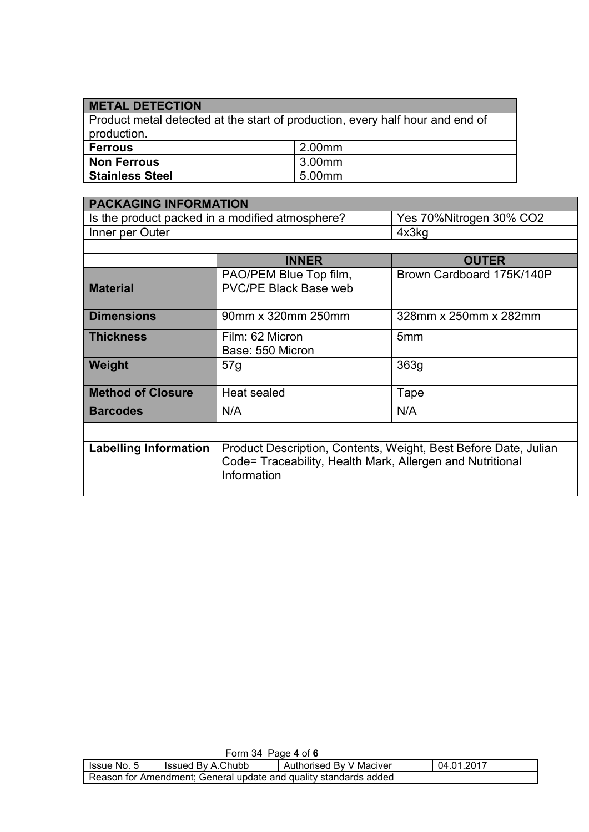## **METAL DETECTION**

Product metal detected at the start of production, every half hour and end of production. **Ferrous** 2.00mm **Non Ferrous** 3.00mm<br>Stainless Steel 5.00mm **Stainless Steel** 

| <b>PACKAGING INFORMATION</b> |                                                                 |                           |  |
|------------------------------|-----------------------------------------------------------------|---------------------------|--|
|                              | Is the product packed in a modified atmosphere?                 | Yes 70%Nitrogen 30% CO2   |  |
| Inner per Outer              |                                                                 | 4x3kg                     |  |
|                              |                                                                 |                           |  |
|                              | <b>INNER</b>                                                    | <b>OUTER</b>              |  |
|                              | PAO/PEM Blue Top film,                                          | Brown Cardboard 175K/140P |  |
| <b>Material</b>              | <b>PVC/PE Black Base web</b>                                    |                           |  |
|                              |                                                                 |                           |  |
| <b>Dimensions</b>            | 90mm x 320mm 250mm                                              | 328mm x 250mm x 282mm     |  |
| <b>Thickness</b>             | Film: 62 Micron                                                 | 5mm                       |  |
|                              | Base: 550 Micron                                                |                           |  |
| Weight                       | 57g                                                             | 363g                      |  |
|                              |                                                                 |                           |  |
| <b>Method of Closure</b>     | Heat sealed                                                     | Tape                      |  |
| <b>Barcodes</b>              | N/A                                                             | N/A                       |  |
|                              |                                                                 |                           |  |
|                              |                                                                 |                           |  |
| <b>Labelling Information</b> | Product Description, Contents, Weight, Best Before Date, Julian |                           |  |
|                              | Code= Traceability, Health Mark, Allergen and Nutritional       |                           |  |
|                              | Information                                                     |                           |  |

| Form 34 Page 4 of 6                                                       |  |  |  |  |
|---------------------------------------------------------------------------|--|--|--|--|
| Authorised By V Maciver<br>Issued By A.Chubb<br>04.01.2017<br>Issue No. 5 |  |  |  |  |
| Reason for Amendment; General update and quality standards added          |  |  |  |  |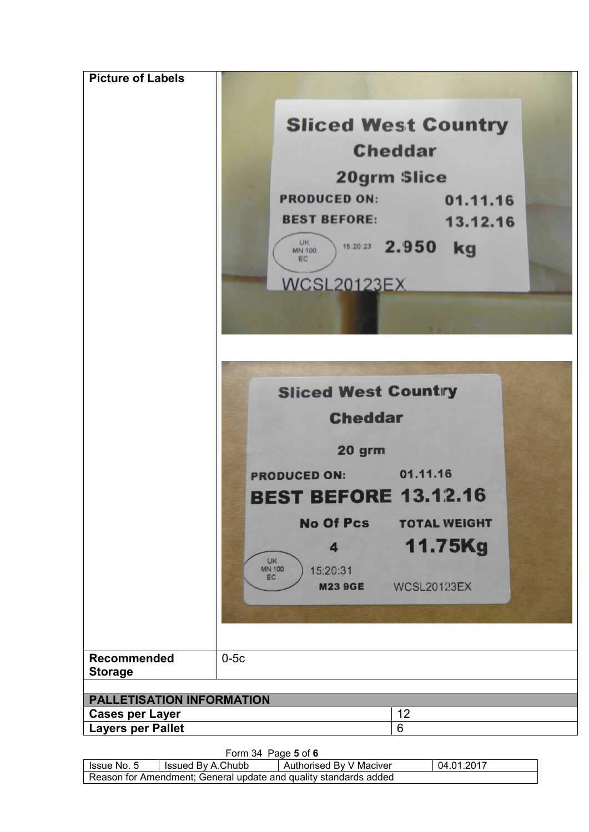| <b>Picture of Labels</b>                                   | <b>Sliced West Country</b>                                                                                        |  |  |
|------------------------------------------------------------|-------------------------------------------------------------------------------------------------------------------|--|--|
|                                                            | <b>Cheddar</b>                                                                                                    |  |  |
|                                                            |                                                                                                                   |  |  |
|                                                            | <b>20grm Slice</b>                                                                                                |  |  |
|                                                            | <b>PRODUCED ON:</b><br>01.11.16                                                                                   |  |  |
|                                                            | <b>BEST BEFORE:</b><br>13.12.16<br><b>UK</b><br>15:20:23 2.950<br>kg<br><b>MN 100</b><br>EC<br><b>WCSL20123EX</b> |  |  |
|                                                            |                                                                                                                   |  |  |
|                                                            | <b>Sliced West Country</b>                                                                                        |  |  |
|                                                            | <b>Cheddar</b>                                                                                                    |  |  |
|                                                            | 20 grm                                                                                                            |  |  |
|                                                            | <b>PRODUCED ON: 01.11.16</b>                                                                                      |  |  |
|                                                            | <b>BEST BEFORE 13.12.16</b>                                                                                       |  |  |
|                                                            | <b>No Of Pcs</b><br><b>TOTAL WEIGHT</b>                                                                           |  |  |
|                                                            | 11.75Kg<br>4                                                                                                      |  |  |
|                                                            | <b>UK</b><br><b>MN 100</b><br>15:20:31<br>EC                                                                      |  |  |
|                                                            | <b>M23 9GE</b><br><b>WCSL20123EX</b>                                                                              |  |  |
|                                                            |                                                                                                                   |  |  |
| <b>Recommended</b><br><b>Storage</b>                       | $0-5c$                                                                                                            |  |  |
|                                                            |                                                                                                                   |  |  |
| <b>PALLETISATION INFORMATION</b><br><b>Cases per Layer</b> | 12                                                                                                                |  |  |
| <b>Layers per Pallet</b>                                   | 6                                                                                                                 |  |  |

Form 34 Page **5** of **6**

| lssue No. 5                                                      | Issued By A.Chubb | Authorised By V Maciver | 04.01.2017 |  |  |  |
|------------------------------------------------------------------|-------------------|-------------------------|------------|--|--|--|
| Reason for Amendment; General update and quality standards added |                   |                         |            |  |  |  |